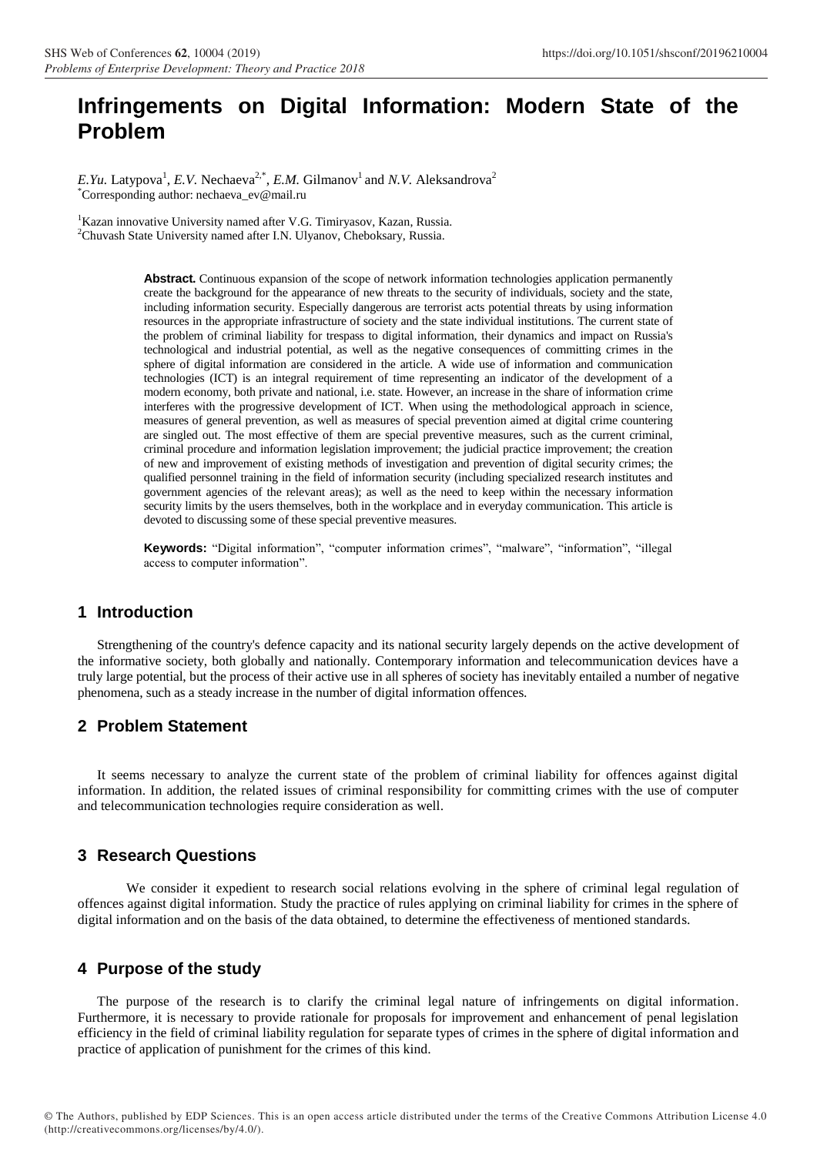# **Infringements on Digital Information: Modern State of the Problem**

E.Yu. Latypova<sup>1</sup>, E.V. Nechaeva<sup>2,\*</sup>, E.M. Gilmanov<sup>1</sup> and N.V. Aleksandrova<sup>2</sup> \*Corresponding author: nechaeva\_ev@mail.ru

<sup>1</sup>Kazan innovative University named after V.G. Timiryasov, Kazan, Russia. <sup>2</sup>Chuvash State University named after I.N. Ulyanov, Cheboksary, Russia.

> **Abstract.** Continuous expansion of the scope of network information technologies application permanently create the background for the appearance of new threats to the security of individuals, society and the state, including information security. Especially dangerous are terrorist acts potential threats by using information resources in the appropriate infrastructure of society and the state individual institutions. The current state of the problem of criminal liability for trespass to digital information, their dynamics and impact on Russia's technological and industrial potential, as well as the negative consequences of committing crimes in the sphere of digital information are considered in the article. A wide use of information and communication technologies (ICT) is an integral requirement of time representing an indicator of the development of a modern economy, both private and national, i.e. state. However, an increase in the share of information crime interferes with the progressive development of ICT. When using the methodological approach in science, measures of general prevention, as well as measures of special prevention aimed at digital crime countering are singled out. The most effective of them are special preventive measures, such as the current criminal, criminal procedure and information legislation improvement; the judicial practice improvement; the creation of new and improvement of existing methods of investigation and prevention of digital security crimes; the qualified personnel training in the field of information security (including specialized research institutes and government agencies of the relevant areas); as well as the need to keep within the necessary information security limits by the users themselves, both in the workplace and in everyday communication. This article is devoted to discussing some of these special preventive measures.

> **Keywords:** "Digital information", "computer information crimes", "malware", "information", "illegal access to computer information".

### **1 Introduction**

Strengthening of the country's defence capacity and its national security largely depends on the active development of the informative society, both globally and nationally. Contemporary information and telecommunication devices have a truly large potential, but the process of their active use in all spheres of society has inevitably entailed a number of negative phenomena, such as a steady increase in the number of digital information offences.

## **2 Problem Statement**

It seems necessary to analyze the current state of the problem of criminal liability for offences against digital information. In addition, the related issues of criminal responsibility for committing crimes with the use of computer and telecommunication technologies require consideration as well.

## **3 Research Questions**

We consider it expedient to research social relations evolving in the sphere of criminal legal regulation of offences against digital information. Study the practice of rules applying on criminal liability for crimes in the sphere of digital information and on the basis of the data obtained, to determine the effectiveness of mentioned standards.

#### **4 Purpose of the study**

The purpose of the research is to clarify the criminal legal nature of infringements on digital information. Furthermore, it is necessary to provide rationale for proposals for improvement and enhancement of penal legislation efficiency in the field of criminal liability regulation for separate types of crimes in the sphere of digital information and practice of application of punishment for the crimes of this kind.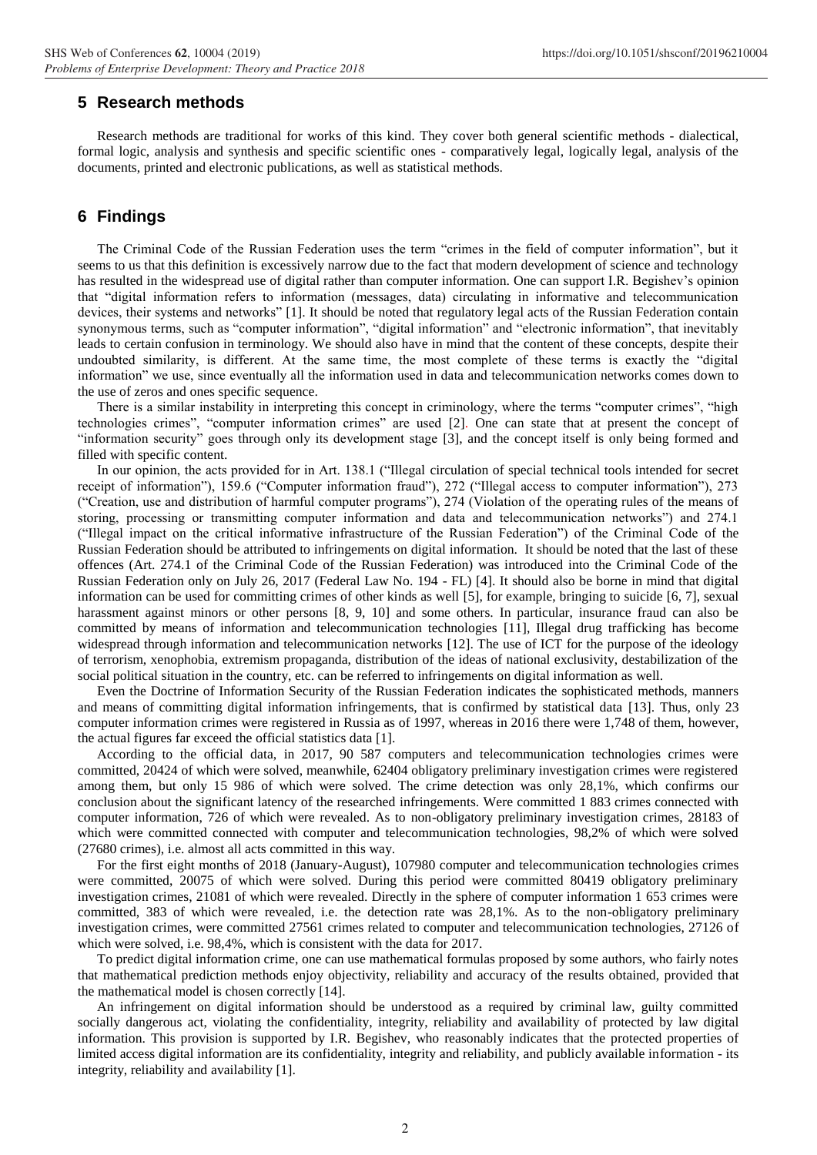## **5 Research methods**

Research methods are traditional for works of this kind. They cover both general scientific methods - dialectical, formal logic, analysis and synthesis and specific scientific ones - comparatively legal, logically legal, analysis of the documents, printed and electronic publications, as well as statistical methods.

## **6 Findings**

The Criminal Code of the Russian Federation uses the term "crimes in the field of computer information", but it seems to us that this definition is excessively narrow due to the fact that modern development of science and technology has resulted in the widespread use of digital rather than computer information. One can support I.R. Begishev's opinion that "digital information refers to information (messages, data) circulating in informative and telecommunication devices, their systems and networks" [1]. It should be noted that regulatory legal acts of the Russian Federation contain synonymous terms, such as "computer information", "digital information" and "electronic information", that inevitably leads to certain confusion in terminology. We should also have in mind that the content of these concepts, despite their undoubted similarity, is different. At the same time, the most complete of these terms is exactly the "digital information" we use, since eventually all the information used in data and telecommunication networks comes down to the use of zeros and ones specific sequence.

There is a similar instability in interpreting this concept in criminology, where the terms "computer crimes", "high technologies crimes", "computer information crimes" are used [2]. One can state that at present the concept of "information security" goes through only its development stage [3], and the concept itself is only being formed and filled with specific content.

In our opinion, the acts provided for in Art. 138.1 ("Illegal circulation of special technical tools intended for secret receipt of information"), 159.6 ("Computer information fraud"), 272 ("Illegal access to computer information"), 273 ("Creation, use and distribution of harmful computer programs"), 274 (Violation of the operating rules of the means of storing, processing or transmitting computer information and data and telecommunication networks") and 274.1 ("Illegal impact on the critical informative infrastructure of the Russian Federation") of the Criminal Code of the Russian Federation should be attributed to infringements on digital information. It should be noted that the last of these offences (Art. 274.1 of the Criminal Code of the Russian Federation) was introduced into the Criminal Code of the Russian Federation only on July 26, 2017 (Federal Law No. 194 - FL) [4]. It should also be borne in mind that digital information can be used for committing crimes of other kinds as well [5], for example, bringing to suicide [6, 7], sexual harassment against minors or other persons [8, 9, 10] and some others. In particular, insurance fraud can also be committed by means of information and telecommunication technologies [11], Illegal drug trafficking has become widespread through information and telecommunication networks [12]. The use of ICT for the purpose of the ideology of terrorism, xenophobia, extremism propaganda, distribution of the ideas of national exclusivity, destabilization of the social political situation in the country, etc. can be referred to infringements on digital information as well.

Even the Doctrine of Information Security of the Russian Federation indicates the sophisticated methods, manners and means of committing digital information infringements, that is confirmed by statistical data [13]. Thus, only 23 computer information crimes were registered in Russia as of 1997, whereas in 2016 there were 1,748 of them, however, the actual figures far exceed the official statistics data [1].

According to the official data, in 2017, 90 587 computers and telecommunication technologies crimes were committed, 20424 of which were solved, meanwhile, 62404 obligatory preliminary investigation crimes were registered among them, but only 15 986 of which were solved. The crime detection was only 28,1%, which confirms our conclusion about the significant latency of the researched infringements. Were committed 1 883 crimes connected with computer information, 726 of which were revealed. As to non-obligatory preliminary investigation crimes, 28183 of which were committed connected with computer and telecommunication technologies, 98,2% of which were solved (27680 crimes), i.e. almost all acts committed in this way.

For the first eight months of 2018 (January-August), 107980 computer and telecommunication technologies crimes were committed, 20075 of which were solved. During this period were committed 80419 obligatory preliminary investigation crimes, 21081 of which were revealed. Directly in the sphere of computer information 1 653 crimes were committed, 383 of which were revealed, i.e. the detection rate was 28,1%. As to the non-obligatory preliminary investigation crimes, were committed 27561 crimes related to computer and telecommunication technologies, 27126 of which were solved, i.e. 98,4%, which is consistent with the data for 2017.

To predict digital information crime, one can use mathematical formulas proposed by some authors, who fairly notes that mathematical prediction methods enjoy objectivity, reliability and accuracy of the results obtained, provided that the mathematical model is chosen correctly [14].

An infringement on digital information should be understood as a required by criminal law, guilty committed socially dangerous act, violating the confidentiality, integrity, reliability and availability of protected by law digital information. This provision is supported by I.R. Begishev, who reasonably indicates that the protected properties of limited access digital information are its confidentiality, integrity and reliability, and publicly available information - its integrity, reliability and availability [1].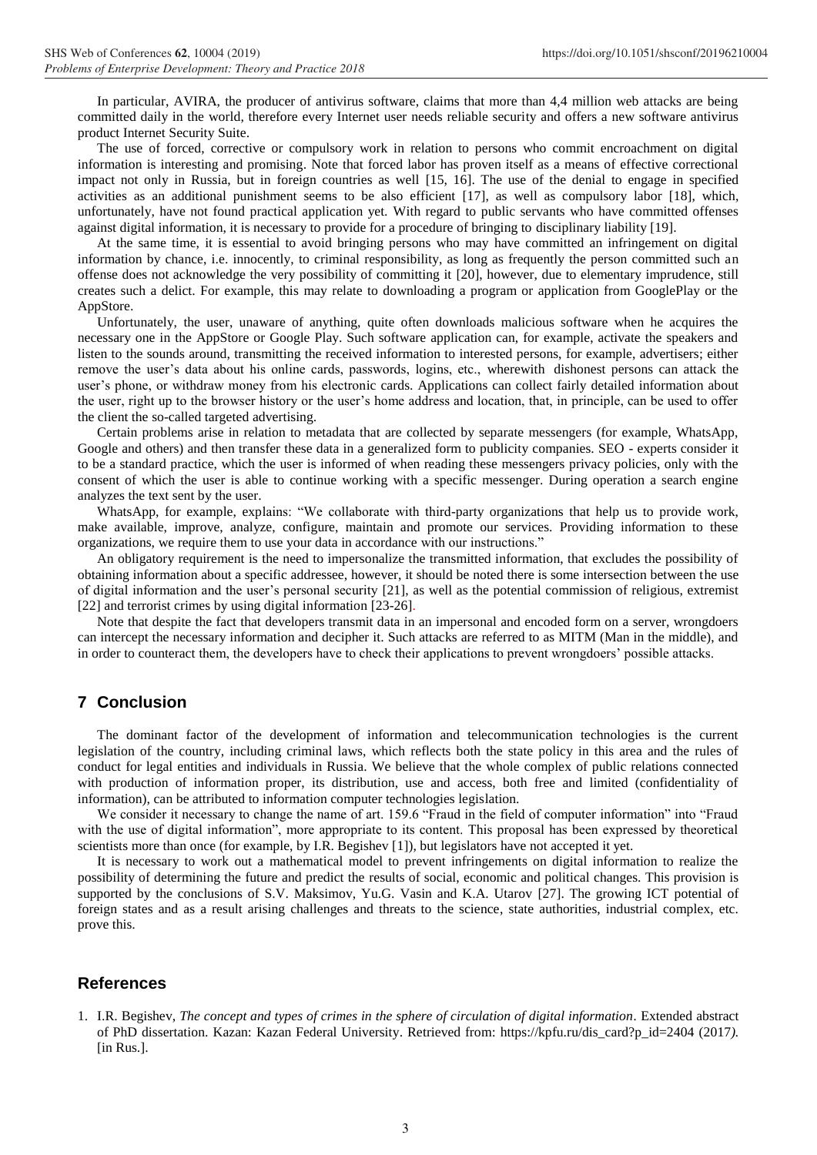In particular, AVIRA, the producer of antivirus software, claims that more than 4,4 million web attacks are being committed daily in the world, therefore every Internet user needs reliable security and offers a new software antivirus product Internet Security Suite.

The use of forced, corrective or compulsory work in relation to persons who commit encroachment on digital information is interesting and promising. Note that forced labor has proven itself as a means of effective correctional impact not only in Russia, but in foreign countries as well [15, 16]. The use of the denial to engage in specified activities as an additional punishment seems to be also efficient [17], as well as compulsory labor [18], which, unfortunately, have not found practical application yet. With regard to public servants who have committed offenses against digital information, it is necessary to provide for a procedure of bringing to disciplinary liability [19].

At the same time, it is essential to avoid bringing persons who may have committed an infringement on digital information by chance, i.e. innocently, to criminal responsibility, as long as frequently the person committed such an offense does not acknowledge the very possibility of committing it [20], however, due to elementary imprudence, still creates such a delict. For example, this may relate to downloading a program or application from GooglePlay or the AppStore.

Unfortunately, the user, unaware of anything, quite often downloads malicious software when he acquires the necessary one in the AppStore or Google Play. Such software application can, for example, activate the speakers and listen to the sounds around, transmitting the received information to interested persons, for example, advertisers; either remove the user's data about his online cards, passwords, logins, etc., wherewith dishonest persons can attack the user's phone, or withdraw money from his electronic cards. Applications can collect fairly detailed information about the user, right up to the browser history or the user's home address and location, that, in principle, can be used to offer the client the so-called targeted advertising.

Certain problems arise in relation to metadata that are collected by separate messengers (for example, WhatsApp, Google and others) and then transfer these data in a generalized form to publicity companies. SEO - experts consider it to be a standard practice, which the user is informed of when reading these messengers privacy policies, only with the consent of which the user is able to continue working with a specific messenger. During operation a search engine analyzes the text sent by the user.

WhatsApp, for example, explains: "We collaborate with third-party organizations that help us to provide work, make available, improve, analyze, configure, maintain and promote our services. Providing information to these organizations, we require them to use your data in accordance with our instructions."

An obligatory requirement is the need to impersonalize the transmitted information, that excludes the possibility of obtaining information about a specific addressee, however, it should be noted there is some intersection between the use of digital information and the user's personal security [21], as well as the potential commission of religious, extremist [22] and terrorist crimes by using digital information [23-26].

Note that despite the fact that developers transmit data in an impersonal and encoded form on a server, wrongdoers can intercept the necessary information and decipher it. Such attacks are referred to as MITM (Man in the middle), and in order to counteract them, the developers have to check their applications to prevent wrongdoers' possible attacks.

## **7 Conclusion**

The dominant factor of the development of information and telecommunication technologies is the current legislation of the country, including criminal laws, which reflects both the state policy in this area and the rules of conduct for legal entities and individuals in Russia. We believe that the whole complex of public relations connected with production of information proper, its distribution, use and access, both free and limited (confidentiality of information), can be attributed to information computer technologies legislation.

We consider it necessary to change the name of art. 159.6 "Fraud in the field of computer information" into "Fraud with the use of digital information", more appropriate to its content. This proposal has been expressed by theoretical scientists more than once (for example, by I.R. Begishev [1]), but legislators have not accepted it yet.

It is necessary to work out a mathematical model to prevent infringements on digital information to realize the possibility of determining the future and predict the results of social, economic and political changes. This provision is supported by the conclusions of S.V. Maksimov, Yu.G. Vasin and K.A. Utarov [27]. The growing ICT potential of foreign states and as a result arising challenges and threats to the science, state authorities, industrial complex, etc. prove this.

#### **References**

1. I.R. Begishev, *The concept and types of crimes in the sphere of circulation of digital information.* Extended abstract of PhD dissertation. Kazan: Kazan Federal University. Retrieved from: https://kpfu.ru/dis\_card?p\_id=2404 (2017*).*  [in Rus.].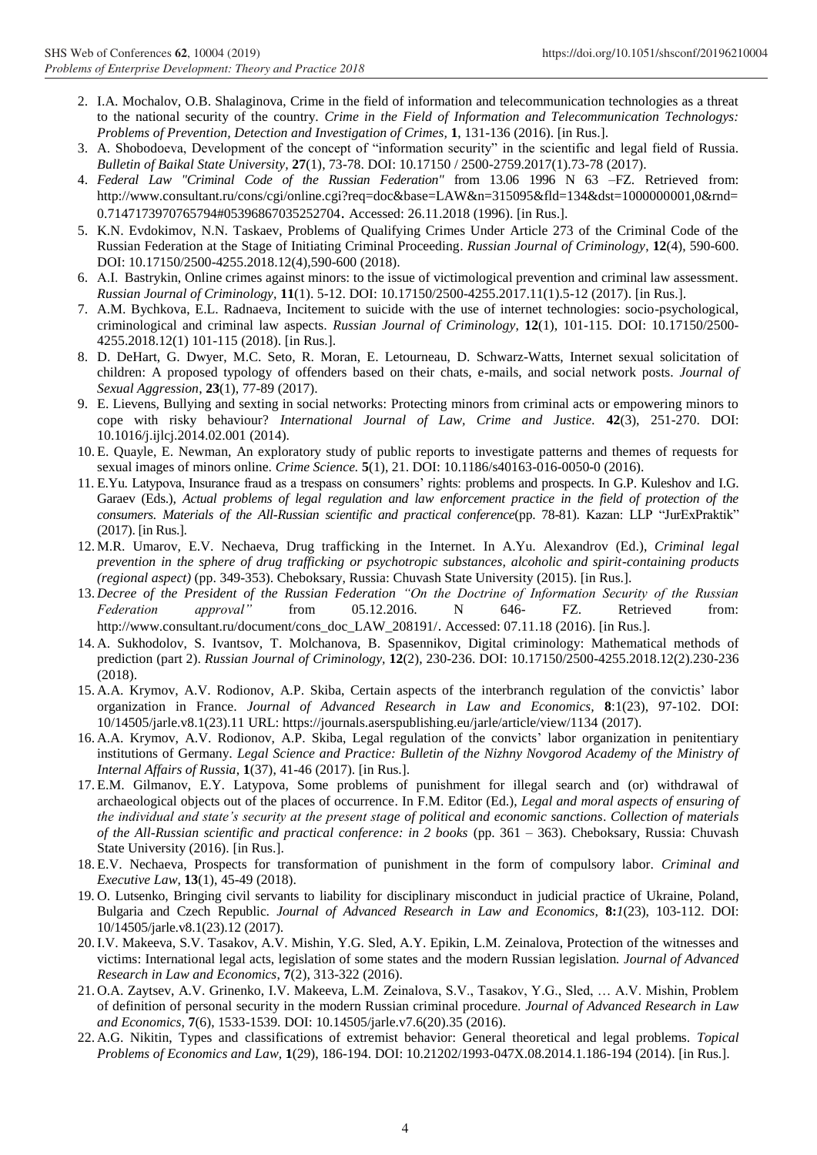- 2. I.A. Mochalov, O.B. Shalaginova, Crime in the field of information and telecommunication technologies as a threat to the national security of the country. *Crime in the Field of Information and Telecommunication Technologys: Problems of Prevention, Detection and Investigation of Crimes,* **1**, 131-136 (2016). [in Rus.].
- 3. A. Shobodoeva, Development of the concept of "information security" in the scientific and legal field of Russia. *Bulletin of Baikal State University,* **27**(1), 73-78. DOI: 10.17150 / 2500-2759.2017(1).73-78 (2017).
- 4. *Federal Law "Criminal Code of the Russian Federation"* from 13.06 1996 N 63 –FZ. Retrieved from: [http://www.consultant.ru/cons/cgi/online.cgi?req=doc&base=LAW&n=315095&fld=134&dst=1000000001,0&rnd=](http://www.consultant.ru/cons/cgi/online.cgi?req=doc&base=LAW&n=315095&fld=134&dst=1000000001,0&rnd=0.7147173970765794#05396867035252704) [0.7147173970765794#05396867035252704](http://www.consultant.ru/cons/cgi/online.cgi?req=doc&base=LAW&n=315095&fld=134&dst=1000000001,0&rnd=0.7147173970765794#05396867035252704). Accessed: 26.11.2018 (1996). [in Rus.].
- 5. K.N. Evdokimov, N.N. Taskaev, Problems of Qualifying Crimes Under Article 273 of the Criminal Code of the Russian Federation at the Stage of Initiating Criminal Proceeding. *Russian Journal of Criminology*, **12**(4), 590-600. DOI: 10.17150/2500-4255.2018.12(4),590-600 (2018).
- 6. A.I.  Bastrykin, Online crimes against minors: to the issue of victimological prevention and criminal law assessment*. Russian Journal of Criminology,* **11**(1). 5-12. DOI: 10.17150/2500-4255.2017.11(1).5-12 (2017). [in Rus.].
- 7. A.M. Bychkova, E.L. Radnaeva, Incitement to suicide with the use of internet technologies: socio-psychological, criminological and criminal law aspects. *Russian Journal of Criminology*, **12**(1), 101-115. DOI: 10.17150/2500- 4255.2018.12(1) 101-115 (2018). [in Rus.].
- 8. D. DeHart, G. Dwyer, M.C. Seto, R. Moran, E. Letourneau, D. Schwarz-Watts, Internet sexual solicitation of children: A proposed typology of offenders based on their chats, e-mails, and social network posts. *Journal of Sexual Aggression*, **23**(1), 77-89 (2017).
- 9. E. Lievens, Bullying and sexting in social networks: Protecting minors from criminal acts or empowering minors to cope with risky behaviour? *International Journal of Law, Crime and Justice.* **42**(3), 251-270. DOI: 10.1016/j.ijlcj.2014.02.001 (2014).
- 10. E. Quayle, E. Newman, An exploratory study of public reports to investigate patterns and themes of requests for sexual images of minors online. *Crime Science.* **5**(1), 21. DOI: 10.1186/s40163-016-0050-0 (2016).
- 11. E.Yu. Latypova, Insurance fraud as a trespass on consumers' rights: problems and prospects. In G.P. Kuleshov and I.G. Garaev (Eds.), *Actual problems of legal regulation and law enforcement practice in the field of protection of the consumers. Materials of the All-Russian scientific and practical conference*(pp. 78-81). Kazan: LLP "JurExPraktik" (2017). [in Rus.].
- 12. M.R. Umarov, E.V. Nechaeva, Drug trafficking in the Internet. In A.Yu. Alexandrov (Ed.), *Criminal legal prevention in the sphere of drug trafficking or psychotropic substances, alcoholic and spirit-containing products (regional aspect)* (pp. 349-353). Cheboksary, Russia: Chuvash State University (2015). [in Rus.].
- 13. *Decree of the President of the Russian Federation "On the Doctrine of Information Security of the Russian Federation approval"* from 05.12.2016. N 646- FZ. Retrieved from: [http://www.consultant.ru/document/cons\\_doc\\_LAW\\_208191/](http://www.consultant.ru/document/cons_doc_LAW_208191/). Accessed: 07.11.18 (2016). [in Rus.].
- 14. A. Sukhodolov, S. Ivantsov, T. Molchanova, B. Spasennikov, Digital criminology: Mathematical methods of prediction (part 2). *Russian Journal of Criminology,* **12**(2), 230-236. DOI: 10.17150/2500-4255.2018.12(2).230-236 (2018).
- 15. A.A. Krymov, A.V. Rodionov, A.P. Skiba, Certain aspects of the interbranch regulation of the convictіs' labor organization in France. *Journal of Advanced Research in Law and Economics,* **8**:1(23), 97-102. DOI: 10/14505/jarle.v8.1(23).11 URL: https://journals.aserspublishing.eu/jarle/article/view/1134 (2017).
- 16. A.A. Krymov, A.V. Rodionov, A.P. Skiba, Legal regulation of the convicts' labor organization in penitentiary institutions of Germany*. Legal Science and Practice: Bulletin of the Nizhny Novgorod Academy of the Ministry of Internal Affairs of Russia*, **1**(37), 41-46 (2017). [in Rus.].
- 17. E.M. Gilmanov, E.Y. Latypova, Some problems of punishment for illegal search and (or) withdrawal of archaeological objects out of the places of occurrence. In F.M. Editor (Ed.), *Legal and moral aspects of ensuring of the individual and state's security at the present stage of political and economic sanctions*. *Collection of materials of the All-Russian scientific and practical conference: in 2 books* (pp. 361 – 363). Cheboksary, Russia: Chuvash State University (2016). [in Rus.].
- 18. E.V. Nechaeva, Prospects for transformation of punishment in the form of compulsory labor. *Criminal and Executive Law*, **13**(1), 45-49 (2018).
- 19. O. Lutsenko, Bringing civil servants to liability for disciplinary misconduct in judicial practice of Ukraine, Poland, Bulgaria and Czech Republic. *Journal of Advanced Research in Law and Economics,* **8:***1*(23), 103-112. DOI: 10/14505/jarle.v8.1(23).12 (2017).
- 20.I.V. Makeeva, S.V. Tasakov, A.V. Mishin, Y.G. Sled, A.Y. Epikin, L.M. Zeinalova, Protection of the witnesses and victims: International legal acts, legislation of some states and the modern Russian legislation*. Journal of Advanced Research in Law and Economics*, **7**(2), 313-322 (2016).
- 21. O.A. Zaytsev, A.V. Grinenko, I.V. Makeeva, L.M. Zeinalova, S.V., Tasakov, Y.G., Sled, … A.V. Mishin, Problem of definition of personal security in the modern Russian criminal procedure. *Journal of Advanced Research in Law and Economics,* **7**(6), 1533-1539. DOI: 10.14505/jarle.v7.6(20).35 (2016).
- 22. A.G. Nikitin, Types and classifications of extremist behavior: General theoretical and legal problems. *Topical Problems of Economics and Law,* **1**(29), 186-194. DOI: [10.21202/1993-047X.08.2014.1.186-194](http://dx.doi.org/10.21202/1993-047X.08.2014.1.186-194) (2014). [in Rus.].